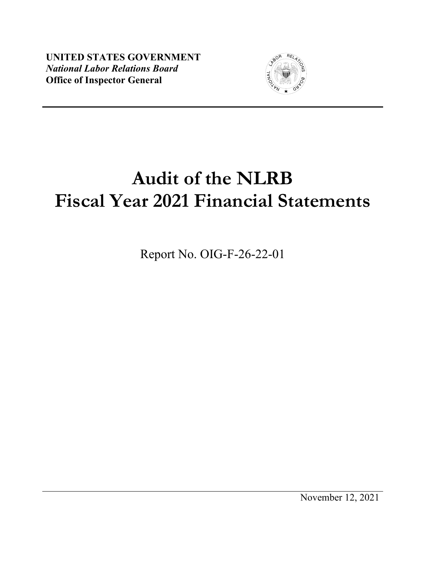

# **Audit of the NLRB Fiscal Year 2021 Financial Statements**

Report No. OIG-F-26-22-01

November 12, 2021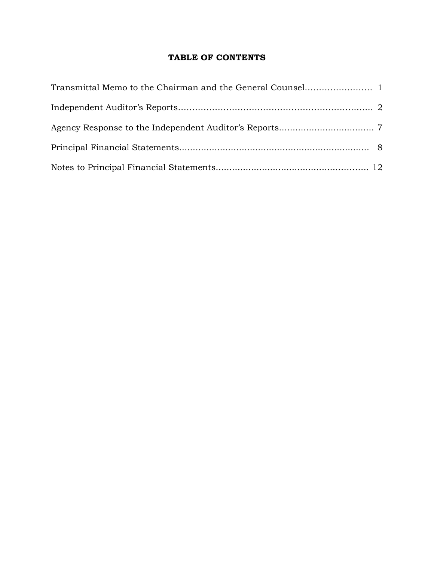## **TABLE OF CONTENTS**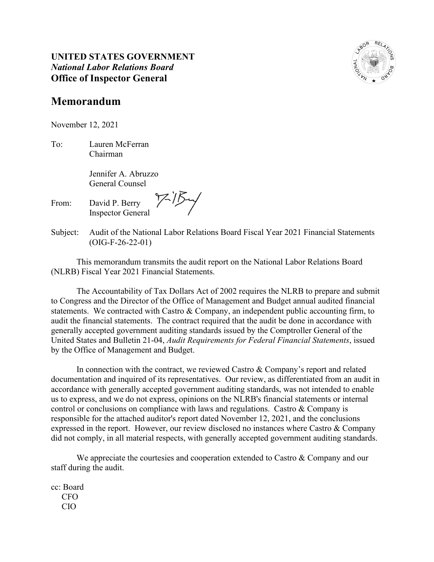

## **Memorandum**

November 12, 2021

To: Lauren McFerran Chairman

> Jennifer A. Abruzzo General Counsel

From: David P. Berry Inspector General

Subject: Audit of the National Labor Relations Board Fiscal Year 2021 Financial Statements (OIG-F-26-22-01)

This memorandum transmits the audit report on the National Labor Relations Board (NLRB) Fiscal Year 2021 Financial Statements.

The Accountability of Tax Dollars Act of 2002 requires the NLRB to prepare and submit to Congress and the Director of the Office of Management and Budget annual audited financial statements. We contracted with Castro & Company, an independent public accounting firm, to audit the financial statements. The contract required that the audit be done in accordance with generally accepted government auditing standards issued by the Comptroller General of the United States and Bulletin 21-04, *Audit Requirements for Federal Financial Statements*, issued by the Office of Management and Budget.

In connection with the contract, we reviewed Castro & Company's report and related documentation and inquired of its representatives. Our review, as differentiated from an audit in accordance with generally accepted government auditing standards, was not intended to enable us to express, and we do not express, opinions on the NLRB's financial statements or internal control or conclusions on compliance with laws and regulations. Castro & Company is responsible for the attached auditor's report dated November 12, 2021, and the conclusions expressed in the report. However, our review disclosed no instances where Castro & Company did not comply, in all material respects, with generally accepted government auditing standards.

We appreciate the courtesies and cooperation extended to Castro & Company and our staff during the audit.

cc: Board CFO CIO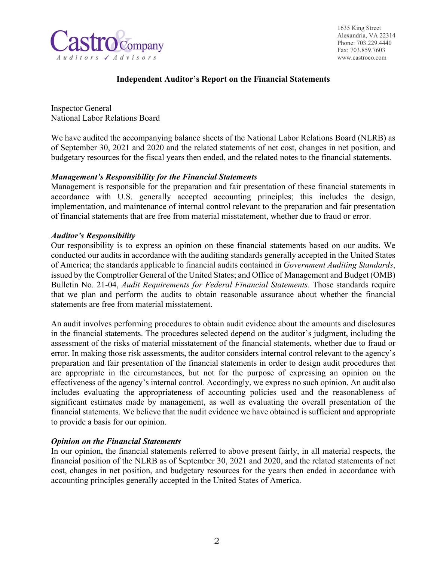

1635 King Street Alexandria, VA 22314 Phone: 703.229.4440 Fax: 703.859.7603 www.castroco.com

### **Independent Auditor's Report on the Financial Statements**

Inspector General National Labor Relations Board

We have audited the accompanying balance sheets of the National Labor Relations Board (NLRB) as of September 30, 2021 and 2020 and the related statements of net cost, changes in net position, and budgetary resources for the fiscal years then ended, and the related notes to the financial statements.

### *Management's Responsibility for the Financial Statements*

Management is responsible for the preparation and fair presentation of these financial statements in accordance with U.S. generally accepted accounting principles; this includes the design, implementation, and maintenance of internal control relevant to the preparation and fair presentation of financial statements that are free from material misstatement, whether due to fraud or error.

## *Auditor's Responsibility*

Our responsibility is to express an opinion on these financial statements based on our audits. We conducted our audits in accordance with the auditing standards generally accepted in the United States of America; the standards applicable to financial audits contained in *Government Auditing Standards*, issued by the Comptroller General of the United States; and Office of Management and Budget (OMB) Bulletin No. 21-04, *Audit Requirements for Federal Financial Statements*. Those standards require that we plan and perform the audits to obtain reasonable assurance about whether the financial statements are free from material misstatement.

An audit involves performing procedures to obtain audit evidence about the amounts and disclosures in the financial statements. The procedures selected depend on the auditor's judgment, including the assessment of the risks of material misstatement of the financial statements, whether due to fraud or error. In making those risk assessments, the auditor considers internal control relevant to the agency's preparation and fair presentation of the financial statements in order to design audit procedures that are appropriate in the circumstances, but not for the purpose of expressing an opinion on the effectiveness of the agency's internal control. Accordingly, we express no such opinion. An audit also includes evaluating the appropriateness of accounting policies used and the reasonableness of significant estimates made by management, as well as evaluating the overall presentation of the financial statements. We believe that the audit evidence we have obtained is sufficient and appropriate to provide a basis for our opinion.

## *Opinion on the Financial Statements*

In our opinion, the financial statements referred to above present fairly, in all material respects, the financial position of the NLRB as of September 30, 2021 and 2020, and the related statements of net cost, changes in net position, and budgetary resources for the years then ended in accordance with accounting principles generally accepted in the United States of America.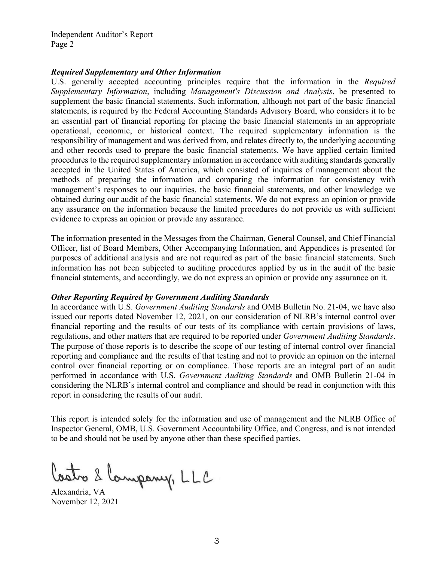Independent Auditor's Report Page 2

#### *Required Supplementary and Other Information*

U.S. generally accepted accounting principles require that the information in the *Required Supplementary Information*, including *Management's Discussion and Analysis*, be presented to supplement the basic financial statements. Such information, although not part of the basic financial statements, is required by the Federal Accounting Standards Advisory Board, who considers it to be an essential part of financial reporting for placing the basic financial statements in an appropriate operational, economic, or historical context. The required supplementary information is the responsibility of management and was derived from, and relates directly to, the underlying accounting and other records used to prepare the basic financial statements. We have applied certain limited procedures to the required supplementary information in accordance with auditing standards generally accepted in the United States of America, which consisted of inquiries of management about the methods of preparing the information and comparing the information for consistency with management's responses to our inquiries, the basic financial statements, and other knowledge we obtained during our audit of the basic financial statements. We do not express an opinion or provide any assurance on the information because the limited procedures do not provide us with sufficient evidence to express an opinion or provide any assurance.

The information presented in the Messages from the Chairman, General Counsel, and Chief Financial Officer, list of Board Members, Other Accompanying Information, and Appendices is presented for purposes of additional analysis and are not required as part of the basic financial statements. Such information has not been subjected to auditing procedures applied by us in the audit of the basic financial statements, and accordingly, we do not express an opinion or provide any assurance on it.

#### *Other Reporting Required by Government Auditing Standards*

In accordance with U.S. *Government Auditing Standards* and OMB Bulletin No. 21-04, we have also issued our reports dated November 12, 2021, on our consideration of NLRB's internal control over financial reporting and the results of our tests of its compliance with certain provisions of laws, regulations, and other matters that are required to be reported under *Government Auditing Standards*. The purpose of those reports is to describe the scope of our testing of internal control over financial reporting and compliance and the results of that testing and not to provide an opinion on the internal control over financial reporting or on compliance. Those reports are an integral part of an audit performed in accordance with U.S. *Government Auditing Standards* and OMB Bulletin 21-04 in considering the NLRB's internal control and compliance and should be read in conjunction with this report in considering the results of our audit.

This report is intended solely for the information and use of management and the NLRB Office of Inspector General, OMB, U.S. Government Accountability Office, and Congress, and is not intended to be and should not be used by anyone other than these specified parties.

Castro 2 Company, LLC

November 12, 2021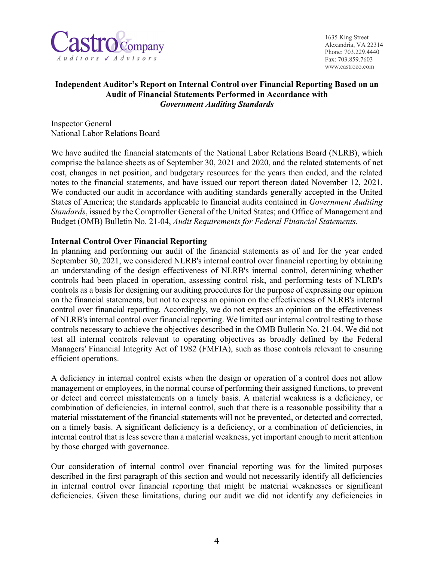

1635 King Street Alexandria, VA 22314 Phone: 703.229.4440 Fax: 703.859.7603 www.castroco.com

## **Independent Auditor's Report on Internal Control over Financial Reporting Based on an Audit of Financial Statements Performed in Accordance with**  *Government Auditing Standards*

Inspector General National Labor Relations Board

We have audited the financial statements of the National Labor Relations Board (NLRB), which comprise the balance sheets as of September 30, 2021 and 2020, and the related statements of net cost, changes in net position, and budgetary resources for the years then ended, and the related notes to the financial statements, and have issued our report thereon dated November 12, 2021. We conducted our audit in accordance with auditing standards generally accepted in the United States of America; the standards applicable to financial audits contained in *Government Auditing Standards*, issued by the Comptroller General of the United States; and Office of Management and Budget (OMB) Bulletin No. 21-04, *Audit Requirements for Federal Financial Statements*.

## **Internal Control Over Financial Reporting**

In planning and performing our audit of the financial statements as of and for the year ended September 30, 2021, we considered NLRB's internal control over financial reporting by obtaining an understanding of the design effectiveness of NLRB's internal control, determining whether controls had been placed in operation, assessing control risk, and performing tests of NLRB's controls as a basis for designing our auditing procedures for the purpose of expressing our opinion on the financial statements, but not to express an opinion on the effectiveness of NLRB's internal control over financial reporting. Accordingly, we do not express an opinion on the effectiveness of NLRB's internal control over financial reporting. We limited our internal control testing to those controls necessary to achieve the objectives described in the OMB Bulletin No. 21-04. We did not test all internal controls relevant to operating objectives as broadly defined by the Federal Managers' Financial Integrity Act of 1982 (FMFIA), such as those controls relevant to ensuring efficient operations.

A deficiency in internal control exists when the design or operation of a control does not allow management or employees, in the normal course of performing their assigned functions, to prevent or detect and correct misstatements on a timely basis. A material weakness is a deficiency, or combination of deficiencies, in internal control, such that there is a reasonable possibility that a material misstatement of the financial statements will not be prevented, or detected and corrected, on a timely basis. A significant deficiency is a deficiency, or a combination of deficiencies, in internal control that is less severe than a material weakness, yet important enough to merit attention by those charged with governance.

Our consideration of internal control over financial reporting was for the limited purposes described in the first paragraph of this section and would not necessarily identify all deficiencies in internal control over financial reporting that might be material weaknesses or significant deficiencies. Given these limitations, during our audit we did not identify any deficiencies in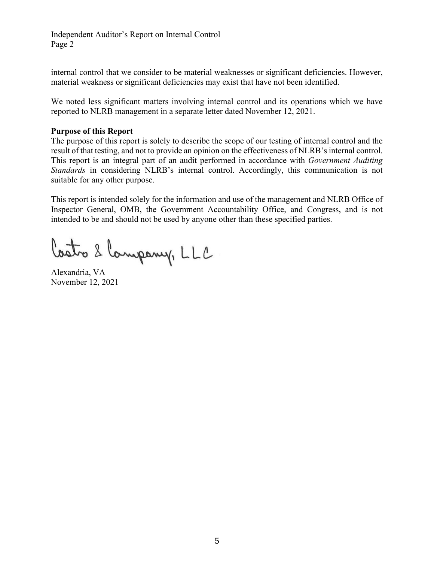Independent Auditor's Report on Internal Control Page 2

internal control that we consider to be material weaknesses or significant deficiencies. However, material weakness or significant deficiencies may exist that have not been identified.

We noted less significant matters involving internal control and its operations which we have reported to NLRB management in a separate letter dated November 12, 2021.

### **Purpose of this Report**

The purpose of this report is solely to describe the scope of our testing of internal control and the result of that testing, and not to provide an opinion on the effectiveness of NLRB's internal control. This report is an integral part of an audit performed in accordance with *Government Auditing Standards* in considering NLRB's internal control. Accordingly, this communication is not suitable for any other purpose.

This report is intended solely for the information and use of the management and NLRB Office of Inspector General, OMB, the Government Accountability Office, and Congress, and is not intended to be and should not be used by anyone other than these specified parties.

Costo 2 Company, LLC

Alexandria, VA November 12, 2021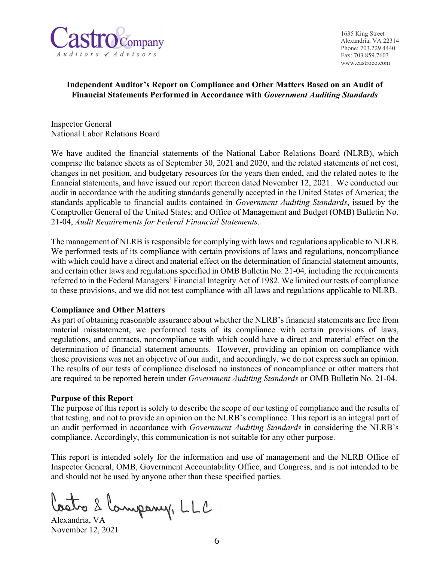

1635 King Street Alexandria, VA 22314 Phone: 703.229.4440 Fax: 703.859.7603 www.castroco.com

## **Independent Auditor's Report on Compliance and Other Matters Based on an Audit of Financial Statements Performed in Accordance with** *Government Auditing Standards*

Inspector General National Labor Relations Board

We have audited the financial statements of the National Labor Relations Board (NLRB), which comprise the balance sheets as of September 30, 2021 and 2020, and the related statements of net cost, changes in net position, and budgetary resources for the years then ended, and the related notes to the financial statements, and have issued our report thereon dated November 12, 2021. We conducted our audit in accordance with the auditing standards generally accepted in the United States of America; the standards applicable to financial audits contained in *Government Auditing Standards*, issued by the Comptroller General of the United States; and Office of Management and Budget (OMB) Bulletin No. 21-04, *Audit Requirements for Federal Financial Statements*.

The management of NLRB is responsible for complying with laws and regulations applicable to NLRB. We performed tests of its compliance with certain provisions of laws and regulations, noncompliance with which could have a direct and material effect on the determination of financial statement amounts, and certain other laws and regulations specified in OMB Bulletin No. 21-04*,* including the requirements referred to in the Federal Managers' Financial Integrity Act of 1982. We limited our tests of compliance to these provisions, and we did not test compliance with all laws and regulations applicable to NLRB.

### **Compliance and Other Matters**

As part of obtaining reasonable assurance about whether the NLRB's financial statements are free from material misstatement, we performed tests of its compliance with certain provisions of laws, regulations, and contracts, noncompliance with which could have a direct and material effect on the determination of financial statement amounts. However, providing an opinion on compliance with those provisions was not an objective of our audit, and accordingly, we do not express such an opinion. The results of our tests of compliance disclosed no instances of noncompliance or other matters that are required to be reported herein under *Government Auditing Standards* or OMB Bulletin No. 21-04.

### **Purpose of this Report**

The purpose of this report is solely to describe the scope of our testing of compliance and the results of that testing, and not to provide an opinion on the NLRB's compliance. This report is an integral part of an audit performed in accordance with *Government Auditing Standards* in considering the NLRB's compliance. Accordingly, this communication is not suitable for any other purpose.

This report is intended solely for the information and use of management and the NLRB Office of Inspector General, OMB, Government Accountability Office, and Congress, and is not intended to be and should not be used by anyone other than these specified parties.

Costro 2 Company, LLC

November 12, 2021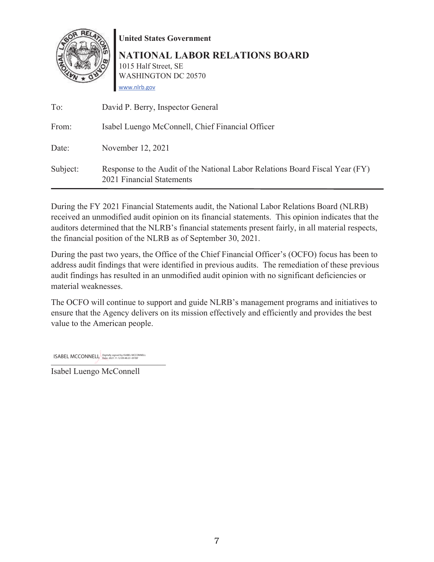

**United States Government** 

 **NATIONAL LABOR RELATIONS BOARD**  1015 Half Street, SE

 WASHINGTON DC 20570 www.nlrb.gov

| Subject: | Response to the Audit of the National Labor Relations Board Fiscal Year (FY)<br>2021 Financial Statements |
|----------|-----------------------------------------------------------------------------------------------------------|
| Date:    | November 12, 2021                                                                                         |
| From:    | Isabel Luengo McConnell, Chief Financial Officer                                                          |
| To:      | David P. Berry, Inspector General                                                                         |

During the FY 2021 Financial Statements audit, the National Labor Relations Board (NLRB) received an unmodified audit opinion on its financial statements. This opinion indicates that the auditors determined that the NLRB's financial statements present fairly, in all material respects, the financial position of the NLRB as of September 30, 2021.

During the past two years, the Office of the Chief Financial Officer's (OCFO) focus has been to address audit findings that were identified in previous audits. The remediation of these previous audit findings has resulted in an unmodified audit opinion with no significant deficiencies or material weaknesses.

The OCFO will continue to support and guide NLRB's management programs and initiatives to ensure that the Agency delivers on its mission effectively and efficiently and provides the best value to the American people.

 $\textsf{ISABEL MCCONNELL}^{\textsf{Digitally signed by ISABE MCCONNELL}}_{\textsf{Data2021.11.12 09:48:23 -05'00'}}$ 

Isabel Luengo McConnell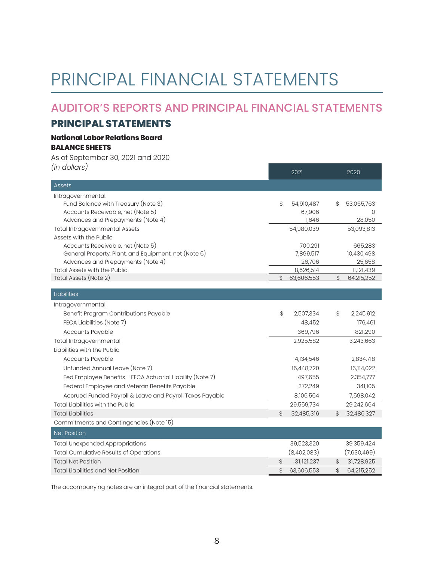# PRINCIPAL FINANCIAL STATEMENTS

# AUDITOR'S REPORTS AND PRINCIPAL FINANCIAL STATEMENTS

## **PRINCIPAL STATEMENTS**

#### **National Labor Relations Board BALANCE SHEETS**

As of September 30, 2021 and 2020<br>(in dollars)

| (in dollars)                                              | 2021             | 2020             |
|-----------------------------------------------------------|------------------|------------------|
| <b>Assets</b>                                             |                  |                  |
| Intragovernmental:                                        |                  |                  |
| Fund Balance with Treasury (Note 3)                       | \$<br>54,910,487 | \$<br>53,065,763 |
| Accounts Receivable, net (Note 5)                         | 67,906           | 0                |
| Advances and Prepayments (Note 4)                         | 1,646            | 28,050           |
| <b>Total Intragovernmental Assets</b>                     | 54,980,039       | 53,093,813       |
| Assets with the Public                                    |                  |                  |
| Accounts Receivable, net (Note 5)                         | 700,291          | 665,283          |
| General Property, Plant, and Equipment, net (Note 6)      | 7,899,517        | 10,430,498       |
| Advances and Prepayments (Note 4)                         | 26,706           | 25,658           |
| <b>Total Assets with the Public</b>                       | 8,626,514        | 11,121,439       |
| Total Assets (Note 2)                                     | 63,606,553       | \$<br>64,215,252 |
| Liabilities                                               |                  |                  |
| Intragovernmental:                                        |                  |                  |
| Benefit Program Contributions Payable                     | \$<br>2,507,334  | \$<br>2,245,912  |
| FECA Liabilities (Note 7)                                 | 48,452           | 176,461          |
| Accounts Payable                                          | 369,796          | 821,290          |
| Total Intragovernmental                                   | 2,925,582        | 3,243,663        |
| Liabilities with the Public                               |                  |                  |
| <b>Accounts Payable</b>                                   | 4,134,546        | 2,834,718        |
| Unfunded Annual Leave (Note 7)                            | 16,448,720       | 16,114,022       |
| Fed Employee Benefits - FECA Actuarial Liability (Note 7) | 497,655          | 2,354,777        |
| Federal Employee and Veteran Benefits Payable             | 372,249          | 341,105          |
| Accrued Funded Payroll & Leave and Payroll Taxes Payable  | 8,106,564        | 7,598,042        |
| <b>Total Liabilities with the Public</b>                  | 29,559,734       | 29,242,664       |
| <b>Total Liabilities</b>                                  | \$<br>32,485,316 | \$<br>32,486,327 |
| Commitments and Contingencies (Note 15)                   |                  |                  |
| <b>Net Position</b>                                       |                  |                  |
| <b>Total Unexpended Appropriations</b>                    | 39,523,320       | 39,359,424       |
| <b>Total Cumulative Results of Operations</b>             | (8,402,083)      | (7,630,499)      |
| <b>Total Net Position</b>                                 | \$<br>31,121,237 | \$<br>31,728,925 |
| <b>Total Liabilities and Net Position</b>                 | \$<br>63,606,553 | \$<br>64,215,252 |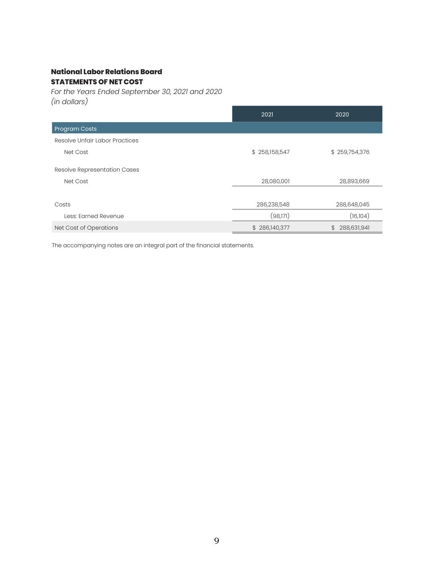### **National Labor Relations Board STATEMENTS OF NET COST**

*For the Years Ended September 30, 2021 and 2020 (in dollars)*

|                                     | 2021          | 2020                        |
|-------------------------------------|---------------|-----------------------------|
| <b>Program Costs</b>                |               |                             |
| Resolve Unfair Labor Practices      |               |                             |
| Net Cost                            | \$258,158,547 | \$259,754,376               |
| <b>Resolve Representation Cases</b> |               |                             |
| Net Cost                            | 28,080,001    | 28,893,669                  |
|                                     |               |                             |
| Costs                               | 286,238,548   | 288,648,045                 |
| Less: Earned Revenue                | (98,171)      | (16, 104)                   |
| Net Cost of Operations              | \$286,140,377 | 288,631,941<br>$\mathbb{S}$ |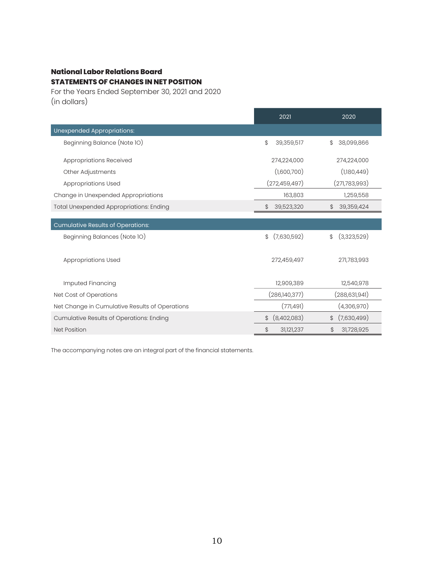## **National Labor Relations Board STATEMENTS OF CHANGES IN NET POSITION**

For the Years Ended September 30, 2021 and 2020 (in dollars)

|                                                 | 2021              | 2020              |
|-------------------------------------------------|-------------------|-------------------|
| <b>Unexpended Appropriations:</b>               |                   |                   |
| Beginning Balance (Note 10)                     | \$<br>39,359,517  | \$<br>38,099,866  |
| <b>Appropriations Received</b>                  | 274,224,000       | 274,224,000       |
| Other Adjustments                               | (1,600,700)       | (1,180,449)       |
| Appropriations Used                             | (272, 459, 497)   | (271, 783, 993)   |
| Change in Unexpended Appropriations             | 163,803           | 1,259,558         |
| <b>Total Unexpended Appropriations: Ending</b>  | \$<br>39,523,320  | \$<br>39,359,424  |
| <b>Cumulative Results of Operations:</b>        |                   |                   |
| Beginning Balances (Note 10)                    | (7,630,592)<br>\$ | (3,323,529)<br>\$ |
| <b>Appropriations Used</b>                      | 272,459,497       | 271,783,993       |
| Imputed Financing                               | 12,909,389        | 12,540,978        |
| Net Cost of Operations                          | (286,140,377)     | (288, 631, 941)   |
| Net Change in Cumulative Results of Operations  | (771, 491)        | (4,306,970)       |
| <b>Cumulative Results of Operations: Ending</b> | (8,402,083)<br>\$ | (7,630,499)<br>\$ |
| <b>Net Position</b>                             | 31,121,237<br>\$  | \$<br>31,728,925  |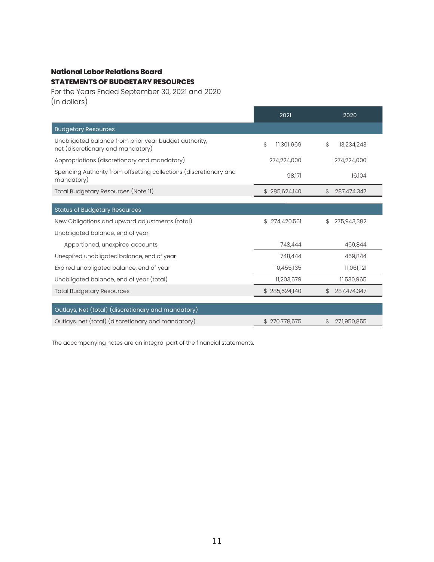## **National Labor Relations Board STATEMENTS OF BUDGETARY RESOURCES**

For the Years Ended September 30, 2021 and 2020 (in dollars)

|                                                                                            | 2021              | 2020              |
|--------------------------------------------------------------------------------------------|-------------------|-------------------|
| <b>Budgetary Resources</b>                                                                 |                   |                   |
| Unobligated balance from prior year budget authority,<br>net (discretionary and mandatory) | \$<br>11,301,969  | \$<br>13,234,243  |
| Appropriations (discretionary and mandatory)                                               | 274,224,000       | 274,224,000       |
| Spending Authority from offsetting collections (discretionary and<br>mandatory)            | 98,171            | 16,104            |
| Total Budgetary Resources (Note 11)                                                        | \$285,624,140     | 287,474,347<br>\$ |
| <b>Status of Budgetary Resources</b>                                                       |                   |                   |
|                                                                                            |                   |                   |
| New Obligations and upward adjustments (total)                                             | 274,420,561<br>\$ | 275,943,382<br>\$ |
| Unobligated balance, end of year:                                                          |                   |                   |
| Apportioned, unexpired accounts                                                            | 748,444           | 469,844           |
| Unexpired unobligated balance, end of year                                                 | 748,444           | 469,844           |
| Expired unobligated balance, end of year                                                   | 10,455,135        | 11,061,121        |
| Unobligated balance, end of year (total)                                                   | 11,203,579        | 11,530,965        |
| <b>Total Budgetary Resources</b>                                                           | \$285,624,140     | 287,474,347<br>\$ |
|                                                                                            |                   |                   |
| Outlays, Net (total) (discretionary and mandatory)                                         |                   |                   |
| Outlays, net (total) (discretionary and mandatory)                                         | \$270,778,575     | 271,950,855<br>\$ |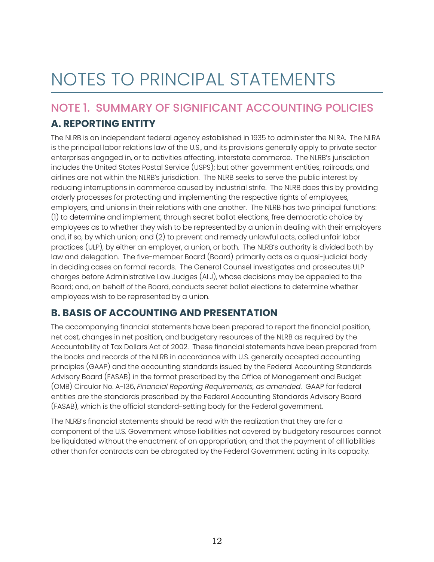# NOTES TO PRINCIPAL STATEMENTS

# NOTE 1. SUMMARY OF SIGNIFICANT ACCOUNTING POLICIES

# **A. REPORTING ENTITY**

The NLRB is an independent federal agency established in 1935 to administer the NLRA. The NLRA is the principal labor relations law of the U.S., and its provisions generally apply to private sector enterprises engaged in, or to activities affecting, interstate commerce. The NLRB's jurisdiction includes the United States Postal Service (USPS); but other government entities, railroads, and airlines are not within the NLRB's jurisdiction. The NLRB seeks to serve the public interest by reducing interruptions in commerce caused by industrial strife. The NLRB does this by providing orderly processes for protecting and implementing the respective rights of employees, employers, and unions in their relations with one another. The NLRB has two principal functions: (1) to determine and implement, through secret ballot elections, free democratic choice by employees as to whether they wish to be represented by a union in dealing with their employers and, if so, by which union; and (2) to prevent and remedy unlawful acts, called unfair labor practices (ULP), by either an employer, a union, or both. The NLRB's authority is divided both by law and delegation. The five-member Board (Board) primarily acts as a quasi-judicial body in deciding cases on formal records. The General Counsel investigates and prosecutes ULP charges before Administrative Law Judges (ALJ), whose decisions may be appealed to the Board; and, on behalf of the Board, conducts secret ballot elections to determine whether employees wish to be represented by a union.

# **B. BASIS OF ACCOUNTING AND PRESENTATION**

The accompanying financial statements have been prepared to report the financial position, net cost, changes in net position, and budgetary resources of the NLRB as required by the Accountability of Tax Dollars Act of 2002. These financial statements have been prepared from the books and records of the NLRB in accordance with U.S. generally accepted accounting principles (GAAP) and the accounting standards issued by the Federal Accounting Standards Advisory Board (FASAB) in the format prescribed by the Office of Management and Budget (OMB) Circular No. A-136, *Financial Reporting Requirements, as amended*. GAAP for federal entities are the standards prescribed by the Federal Accounting Standards Advisory Board (FASAB), which is the official standard-setting body for the Federal government.

The NLRB's financial statements should be read with the realization that they are for a component of the U.S. Government whose liabilities not covered by budgetary resources cannot be liquidated without the enactment of an appropriation, and that the payment of all liabilities other than for contracts can be abrogated by the Federal Government acting in its capacity.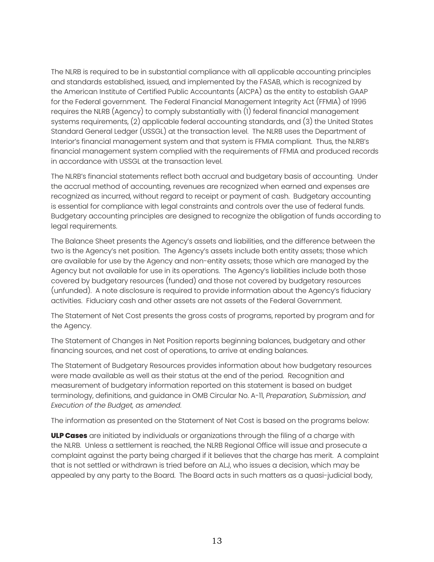The NLRB is required to be in substantial compliance with all applicable accounting principles and standards established, issued, and implemented by the FASAB, which is recognized by the American Institute of Certified Public Accountants (AICPA) as the entity to establish GAAP for the Federal government. The Federal Financial Management Integrity Act (FFMIA) of 1996 requires the NLRB (Agency) to comply substantially with (1) federal financial management systems requirements, (2) applicable federal accounting standards, and (3) the United States Standard General Ledger (USSGL) at the transaction level. The NLRB uses the Department of Interior's financial management system and that system is FFMIA compliant. Thus, the NLRB's financial management system complied with the requirements of FFMIA and produced records in accordance with USSGL at the transaction level.

The NLRB's financial statements reflect both accrual and budgetary basis of accounting. Under the accrual method of accounting, revenues are recognized when earned and expenses are recognized as incurred, without regard to receipt or payment of cash. Budgetary accounting is essential for compliance with legal constraints and controls over the use of federal funds. Budgetary accounting principles are designed to recognize the obligation of funds according to legal requirements.

The Balance Sheet presents the Agency's assets and liabilities, and the difference between the two is the Agency's net position. The Agency's assets include both entity assets; those which are available for use by the Agency and non-entity assets; those which are managed by the Agency but not available for use in its operations. The Agency's liabilities include both those covered by budgetary resources (funded) and those not covered by budgetary resources (unfunded). A note disclosure is required to provide information about the Agency's fiduciary activities. Fiduciary cash and other assets are not assets of the Federal Government.

The Statement of Net Cost presents the gross costs of programs, reported by program and for the Agency.

The Statement of Changes in Net Position reports beginning balances, budgetary and other financing sources, and net cost of operations, to arrive at ending balances.

The Statement of Budgetary Resources provides information about how budgetary resources were made available as well as their status at the end of the period. Recognition and measurement of budgetary information reported on this statement is based on budget terminology, definitions, and guidance in OMB Circular No. A-11, *Preparation, Submission, and Execution of the Budget, as amended*.

The information as presented on the Statement of Net Cost is based on the programs below:

**ULP Cases** are initiated by individuals or organizations through the filing of a charge with the NLRB. Unless a settlement is reached, the NLRB Regional Office will issue and prosecute a complaint against the party being charged if it believes that the charge has merit. A complaint that is not settled or withdrawn is tried before an ALJ, who issues a decision, which may be appealed by any party to the Board. The Board acts in such matters as a quasi-judicial body,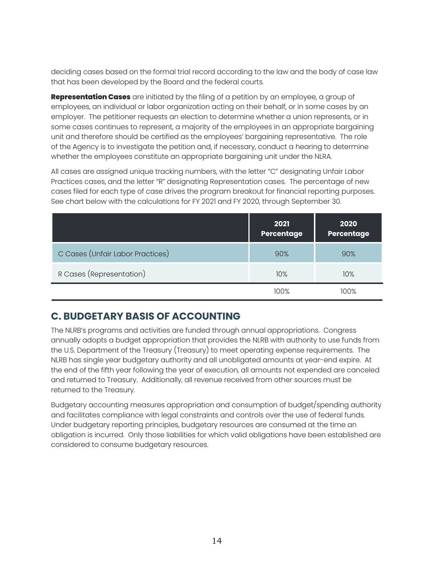deciding cases based on the formal trial record according to the law and the body of case law that has been developed by the Board and the federal courts.

**Representation Cases** are initiated by the filing of a petition by an employee, a group of employees, an individual or labor organization acting on their behalf, or in some cases by an employer. The petitioner requests an election to determine whether a union represents, or in some cases continues to represent, a majority of the employees in an appropriate bargaining unit and therefore should be certified as the employees' bargaining representative. The role of the Agency is to investigate the petition and, if necessary, conduct a hearing to determine whether the employees constitute an appropriate bargaining unit under the NLRA.

All cases are assigned unique tracking numbers, with the letter "C" designating Unfair Labor Practices cases, and the letter "R" designating Representation cases. The percentage of new cases filed for each type of case drives the program breakout for financial reporting purposes. See chart below with the calculations for FY 2021 and FY 2020, through September 30.

|                                  | 2021<br>Percentage | 2020<br>Percentage |
|----------------------------------|--------------------|--------------------|
| C Cases (Unfair Labor Practices) | 90%                | 90%                |
| R Cases (Representation)         | 10%                | 10%                |
|                                  | 100%               | $100\%$            |

## **C. BUDGETARY BASIS OF ACCOUNTING**

The NLRB's programs and activities are funded through annual appropriations. Congress annually adopts a budget appropriation that provides the NLRB with authority to use funds from the U.S. Department of the Treasury (Treasury) to meet operating expense requirements. The NLRB has single year budgetary authority and all unobligated amounts at year-end expire. At the end of the fifth year following the year of execution, all amounts not expended are canceled and returned to Treasury. Additionally, all revenue received from other sources must be returned to the Treasury.

Budgetary accounting measures appropriation and consumption of budget/spending authority and facilitates compliance with legal constraints and controls over the use of federal funds. Under budgetary reporting principles, budgetary resources are consumed at the time an obligation is incurred. Only those liabilities for which valid obligations have been established are considered to consume budgetary resources.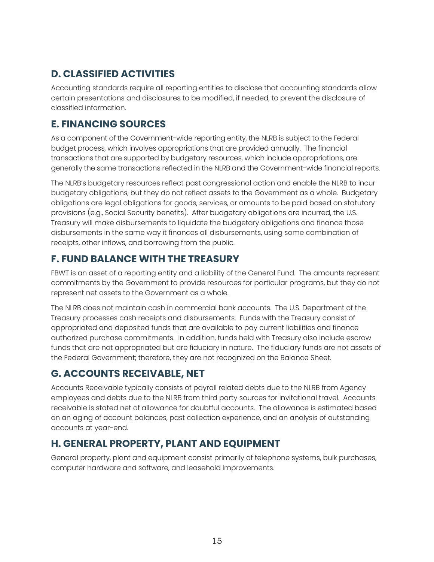# **D. CLASSIFIED ACTIVITIES**

Accounting standards require all reporting entities to disclose that accounting standards allow certain presentations and disclosures to be modified, if needed, to prevent the disclosure of classified information.

## **E. FINANCING SOURCES**

As a component of the Government-wide reporting entity, the NLRB is subject to the Federal budget process, which involves appropriations that are provided annually. The financial transactions that are supported by budgetary resources, which include appropriations, are generally the same transactions reflected in the NLRB and the Government-wide financial reports.

The NLRB's budgetary resources reflect past congressional action and enable the NLRB to incur budgetary obligations, but they do not reflect assets to the Government as a whole. Budgetary obligations are legal obligations for goods, services, or amounts to be paid based on statutory provisions (e.g., Social Security benefits). After budgetary obligations are incurred, the U.S. Treasury will make disbursements to liquidate the budgetary obligations and finance those disbursements in the same way it finances all disbursements, using some combination of receipts, other inflows, and borrowing from the public.

# **F. FUND BALANCE WITH THE TREASURY**

FBWT is an asset of a reporting entity and a liability of the General Fund. The amounts represent commitments by the Government to provide resources for particular programs, but they do not represent net assets to the Government as a whole.

The NLRB does not maintain cash in commercial bank accounts. The U.S. Department of the Treasury processes cash receipts and disbursements. Funds with the Treasury consist of appropriated and deposited funds that are available to pay current liabilities and finance authorized purchase commitments. In addition, funds held with Treasury also include escrow funds that are not appropriated but are fiduciary in nature. The fiduciary funds are not assets of the Federal Government; therefore, they are not recognized on the Balance Sheet.

# **G. ACCOUNTS RECEIVABLE, NET**

Accounts Receivable typically consists of payroll related debts due to the NLRB from Agency employees and debts due to the NLRB from third party sources for invitational travel. Accounts receivable is stated net of allowance for doubtful accounts. The allowance is estimated based on an aging of account balances, past collection experience, and an analysis of outstanding accounts at year-end.

# **H. GENERAL PROPERTY, PLANT AND EQUIPMENT**

General property, plant and equipment consist primarily of telephone systems, bulk purchases, computer hardware and software, and leasehold improvements.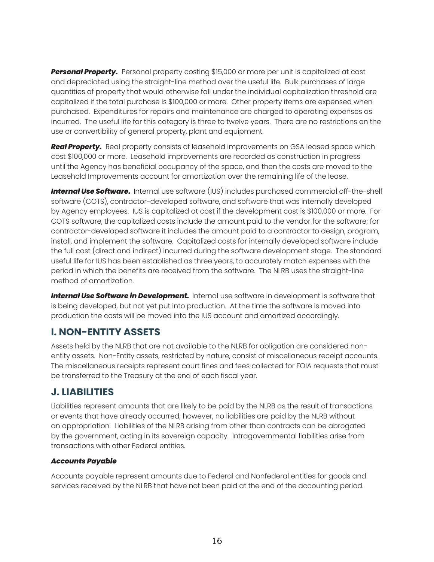**Personal Property.** Personal property costing \$15,000 or more per unit is capitalized at cost and depreciated using the straight-line method over the useful life. Bulk purchases of large quantities of property that would otherwise fall under the individual capitalization threshold are capitalized if the total purchase is \$100,000 or more. Other property items are expensed when purchased. Expenditures for repairs and maintenance are charged to operating expenses as incurred. The useful life for this category is three to twelve years. There are no restrictions on the use or convertibility of general property, plant and equipment.

**Real Property.** Real property consists of leasehold improvements on GSA leased space which cost \$100,000 or more. Leasehold improvements are recorded as construction in progress until the Agency has beneficial occupancy of the space, and then the costs are moved to the Leasehold Improvements account for amortization over the remaining life of the lease.

**Internal Use Software.** Internal use software (IUS) includes purchased commercial off-the-shelf software (COTS), contractor-developed software, and software that was internally developed by Agency employees. IUS is capitalized at cost if the development cost is \$100,000 or more. For COTS software, the capitalized costs include the amount paid to the vendor for the software; for contractor-developed software it includes the amount paid to a contractor to design, program, install, and implement the software. Capitalized costs for internally developed software include the full cost (direct and indirect) incurred during the software development stage. The standard useful life for IUS has been established as three years, to accurately match expenses with the period in which the benefits are received from the software. The NLRB uses the straight-line method of amortization.

**Internal Use Software in Development.** Internal use software in development is software that is being developed, but not yet put into production. At the time the software is moved into production the costs will be moved into the IUS account and amortized accordingly.

# **I. NON-ENTITY ASSETS**

Assets held by the NLRB that are not available to the NLRB for obligation are considered nonentity assets. Non-Entity assets, restricted by nature, consist of miscellaneous receipt accounts. The miscellaneous receipts represent court fines and fees collected for FOIA requests that must be transferred to the Treasury at the end of each fiscal year.

## **J. LIABILITIES**

Liabilities represent amounts that are likely to be paid by the NLRB as the result of transactions or events that have already occurred; however, no liabilities are paid by the NLRB without an appropriation. Liabilities of the NLRB arising from other than contracts can be abrogated by the government, acting in its sovereign capacity. Intragovernmental liabilities arise from transactions with other Federal entities.

### *Accounts Payable*

Accounts payable represent amounts due to Federal and Nonfederal entities for goods and services received by the NLRB that have not been paid at the end of the accounting period.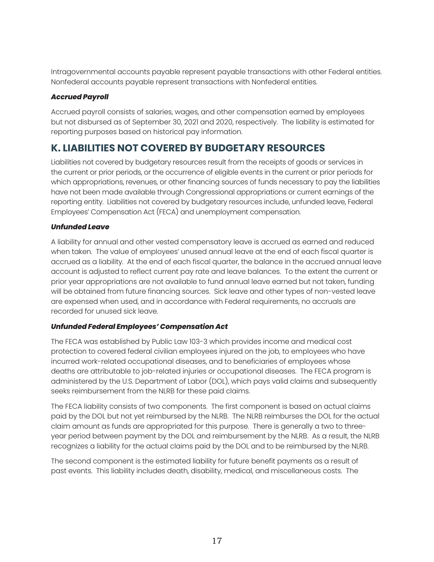Intragovernmental accounts payable represent payable transactions with other Federal entities. Nonfederal accounts payable represent transactions with Nonfederal entities.

## *Accrued Payroll*

Accrued payroll consists of salaries, wages, and other compensation earned by employees but not disbursed as of September 30, 2021 and 2020, respectively. The liability is estimated for reporting purposes based on historical pay information.

## **K. LIABILITIES NOT COVERED BY BUDGETARY RESOURCES**

Liabilities not covered by budgetary resources result from the receipts of goods or services in the current or prior periods, or the occurrence of eligible events in the current or prior periods for which appropriations, revenues, or other financing sources of funds necessary to pay the liabilities have not been made available through Congressional appropriations or current earnings of the reporting entity. Liabilities not covered by budgetary resources include, unfunded leave, Federal Employees' Compensation Act (FECA) and unemployment compensation.

### *Unfunded Leave*

A liability for annual and other vested compensatory leave is accrued as earned and reduced when taken. The value of employees' unused annual leave at the end of each fiscal quarter is accrued as a liability. At the end of each fiscal quarter, the balance in the accrued annual leave account is adjusted to reflect current pay rate and leave balances. To the extent the current or prior year appropriations are not available to fund annual leave earned but not taken, funding will be obtained from future financing sources. Sick leave and other types of non-vested leave are expensed when used, and in accordance with Federal requirements, no accruals are recorded for unused sick leave.

### *Unfunded Federal Employees' Compensation Act*

The FECA was established by Public Law 103-3 which provides income and medical cost protection to covered federal civilian employees injured on the job, to employees who have incurred work-related occupational diseases, and to beneficiaries of employees whose deaths are attributable to job-related injuries or occupational diseases. The FECA program is administered by the U.S. Department of Labor (DOL), which pays valid claims and subsequently seeks reimbursement from the NLRB for these paid claims.

The FECA liability consists of two components. The first component is based on actual claims paid by the DOL but not yet reimbursed by the NLRB. The NLRB reimburses the DOL for the actual claim amount as funds are appropriated for this purpose. There is generally a two to threeyear period between payment by the DOL and reimbursement by the NLRB. As a result, the NLRB recognizes a liability for the actual claims paid by the DOL and to be reimbursed by the NLRB.

The second component is the estimated liability for future benefit payments as a result of past events. This liability includes death, disability, medical, and miscellaneous costs. The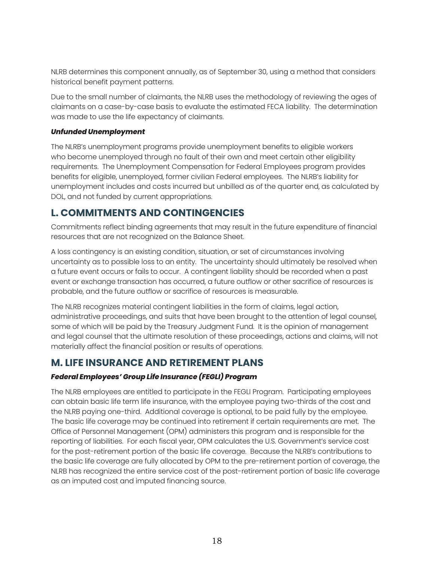NLRB determines this component annually, as of September 30, using a method that considers historical benefit payment patterns.

Due to the small number of claimants, the NLRB uses the methodology of reviewing the ages of claimants on a case-by-case basis to evaluate the estimated FECA liability. The determination was made to use the life expectancy of claimants.

#### *Unfunded Unemployment*

The NLRB's unemployment programs provide unemployment benefits to eligible workers who become unemployed through no fault of their own and meet certain other eligibility requirements. The Unemployment Compensation for Federal Employees program provides benefits for eligible, unemployed, former civilian Federal employees. The NLRB's liability for unemployment includes and costs incurred but unbilled as of the quarter end, as calculated by DOL, and not funded by current appropriations.

## **L. COMMITMENTS AND CONTINGENCIES**

Commitments reflect binding agreements that may result in the future expenditure of financial resources that are not recognized on the Balance Sheet.

A loss contingency is an existing condition, situation, or set of circumstances involving uncertainty as to possible loss to an entity. The uncertainty should ultimately be resolved when a future event occurs or fails to occur. A contingent liability should be recorded when a past event or exchange transaction has occurred, a future outflow or other sacrifice of resources is probable, and the future outflow or sacrifice of resources is measurable.

The NLRB recognizes material contingent liabilities in the form of claims, legal action, administrative proceedings, and suits that have been brought to the attention of legal counsel, some of which will be paid by the Treasury Judgment Fund. It is the opinion of management and legal counsel that the ultimate resolution of these proceedings, actions and claims, will not materially affect the financial position or results of operations.

## **M. LIFE INSURANCE AND RETIREMENT PLANS**

### *Federal Employees' Group Life Insurance (FEGLI) Program*

The NLRB employees are entitled to participate in the FEGLI Program. Participating employees can obtain basic life term life insurance, with the employee paying two-thirds of the cost and the NLRB paying one-third. Additional coverage is optional, to be paid fully by the employee. The basic life coverage may be continued into retirement if certain requirements are met. The Office of Personnel Management (OPM) administers this program and is responsible for the reporting of liabilities. For each fiscal year, OPM calculates the U.S. Government's service cost for the post-retirement portion of the basic life coverage. Because the NLRB's contributions to the basic life coverage are fully allocated by OPM to the pre-retirement portion of coverage, the NLRB has recognized the entire service cost of the post-retirement portion of basic life coverage as an imputed cost and imputed financing source.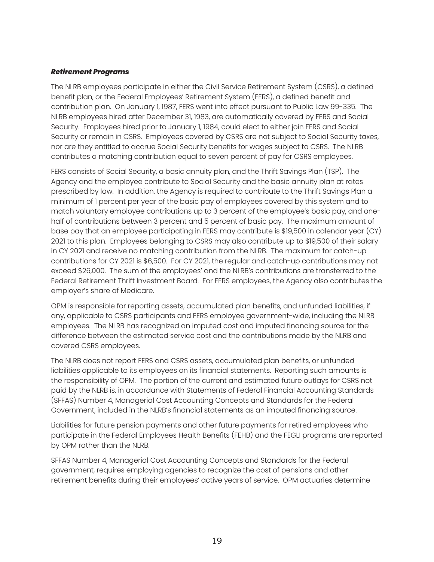#### *Retirement Programs*

The NLRB employees participate in either the Civil Service Retirement System (CSRS), a defined benefit plan, or the Federal Employees' Retirement System (FERS), a defined benefit and contribution plan. On January 1, 1987, FERS went into effect pursuant to Public Law 99-335. The NLRB employees hired after December 31, 1983, are automatically covered by FERS and Social Security. Employees hired prior to January 1, 1984, could elect to either join FERS and Social Security or remain in CSRS. Employees covered by CSRS are not subject to Social Security taxes, nor are they entitled to accrue Social Security benefits for wages subject to CSRS. The NLRB contributes a matching contribution equal to seven percent of pay for CSRS employees.

FERS consists of Social Security, a basic annuity plan, and the Thrift Savings Plan (TSP). The Agency and the employee contribute to Social Security and the basic annuity plan at rates prescribed by law. In addition, the Agency is required to contribute to the Thrift Savings Plan a minimum of 1 percent per year of the basic pay of employees covered by this system and to match voluntary employee contributions up to 3 percent of the employee's basic pay, and onehalf of contributions between 3 percent and 5 percent of basic pay. The maximum amount of base pay that an employee participating in FERS may contribute is \$19,500 in calendar year (CY) 2021 to this plan. Employees belonging to CSRS may also contribute up to \$19,500 of their salary in CY 2021 and receive no matching contribution from the NLRB. The maximum for catch-up contributions for CY 2021 is \$6,500. For CY 2021, the regular and catch-up contributions may not exceed \$26,000. The sum of the employees' and the NLRB's contributions are transferred to the Federal Retirement Thrift Investment Board. For FERS employees, the Agency also contributes the employer's share of Medicare.

OPM is responsible for reporting assets, accumulated plan benefits, and unfunded liabilities, if any, applicable to CSRS participants and FERS employee government-wide, including the NLRB employees. The NLRB has recognized an imputed cost and imputed financing source for the difference between the estimated service cost and the contributions made by the NLRB and covered CSRS employees.

The NLRB does not report FERS and CSRS assets, accumulated plan benefits, or unfunded liabilities applicable to its employees on its financial statements. Reporting such amounts is the responsibility of OPM. The portion of the current and estimated future outlays for CSRS not paid by the NLRB is, in accordance with Statements of Federal Financial Accounting Standards (SFFAS) Number 4, Managerial Cost Accounting Concepts and Standards for the Federal Government, included in the NLRB's financial statements as an imputed financing source.

Liabilities for future pension payments and other future payments for retired employees who participate in the Federal Employees Health Benefits (FEHB) and the FEGLI programs are reported by OPM rather than the NLRB.

SFFAS Number 4, Managerial Cost Accounting Concepts and Standards for the Federal government, requires employing agencies to recognize the cost of pensions and other retirement benefits during their employees' active years of service. OPM actuaries determine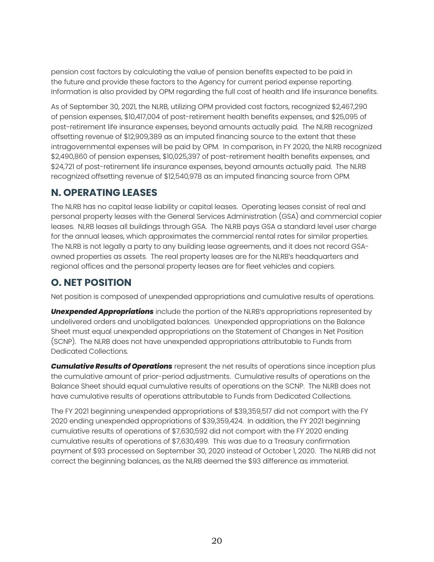pension cost factors by calculating the value of pension benefits expected to be paid in the future and provide these factors to the Agency for current period expense reporting. Information is also provided by OPM regarding the full cost of health and life insurance benefits.

As of September 30, 2021, the NLRB, utilizing OPM provided cost factors, recognized \$2,467,290 of pension expenses, \$10,417,004 of post-retirement health benefits expenses, and \$25,095 of post-retirement life insurance expenses, beyond amounts actually paid. The NLRB recognized offsetting revenue of \$12,909,389 as an imputed financing source to the extent that these intragovernmental expenses will be paid by OPM. In comparison, in FY 2020, the NLRB recognized \$2,490,860 of pension expenses, \$10,025,397 of post-retirement health benefits expenses, and \$24,721 of post-retirement life insurance expenses, beyond amounts actually paid. The NLRB recognized offsetting revenue of \$12,540,978 as an imputed financing source from OPM.

# **N. OPERATING LEASES**

The NLRB has no capital lease liability or capital leases. Operating leases consist of real and personal property leases with the General Services Administration (GSA) and commercial copier leases. NLRB leases all buildings through GSA. The NLRB pays GSA a standard level user charge for the annual leases, which approximates the commercial rental rates for similar properties. The NLRB is not legally a party to any building lease agreements, and it does not record GSAowned properties as assets. The real property leases are for the NLRB's headquarters and regional offices and the personal property leases are for fleet vehicles and copiers.

# **O. NET POSITION**

Net position is composed of unexpended appropriations and cumulative results of operations.

*Unexpended Appropriations* include the portion of the NLRB's appropriations represented by undelivered orders and unobligated balances. Unexpended appropriations on the Balance Sheet must equal unexpended appropriations on the Statement of Changes in Net Position (SCNP). The NLRB does not have unexpended appropriations attributable to Funds from Dedicated Collections.

**Cumulative Results of Operations** represent the net results of operations since inception plus the cumulative amount of prior-period adjustments. Cumulative results of operations on the Balance Sheet should equal cumulative results of operations on the SCNP. The NLRB does not have cumulative results of operations attributable to Funds from Dedicated Collections.

The FY 2021 beginning unexpended appropriations of \$39,359,517 did not comport with the FY 2020 ending unexpended appropriations of \$39,359,424. In addition, the FY 2021 beginning cumulative results of operations of \$7,630,592 did not comport with the FY 2020 ending cumulative results of operations of \$7,630,499. This was due to a Treasury confirmation payment of \$93 processed on September 30, 2020 instead of October 1, 2020. The NLRB did not correct the beginning balances, as the NLRB deemed the \$93 difference as immaterial.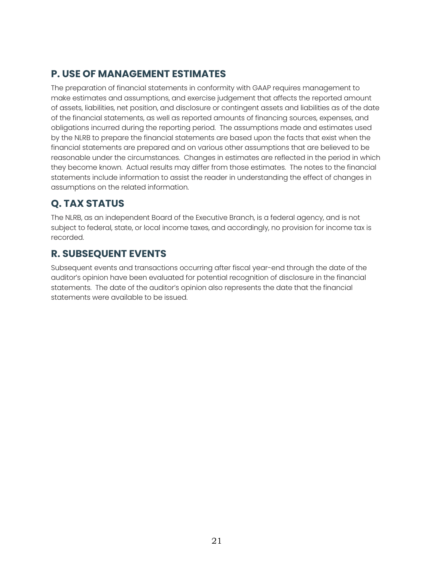# **P. USE OF MANAGEMENT ESTIMATES**

The preparation of financial statements in conformity with GAAP requires management to make estimates and assumptions, and exercise judgement that affects the reported amount of assets, liabilities, net position, and disclosure or contingent assets and liabilities as of the date of the financial statements, as well as reported amounts of financing sources, expenses, and obligations incurred during the reporting period. The assumptions made and estimates used by the NLRB to prepare the financial statements are based upon the facts that exist when the financial statements are prepared and on various other assumptions that are believed to be reasonable under the circumstances. Changes in estimates are reflected in the period in which they become known. Actual results may differ from those estimates. The notes to the financial statements include information to assist the reader in understanding the effect of changes in assumptions on the related information.

# **Q. TAX STATUS**

The NLRB, as an independent Board of the Executive Branch, is a federal agency, and is not subject to federal, state, or local income taxes, and accordingly, no provision for income tax is recorded.

# **R. SUBSEQUENT EVENTS**

Subsequent events and transactions occurring after fiscal year-end through the date of the auditor's opinion have been evaluated for potential recognition of disclosure in the financial statements. The date of the auditor's opinion also represents the date that the financial statements were available to be issued.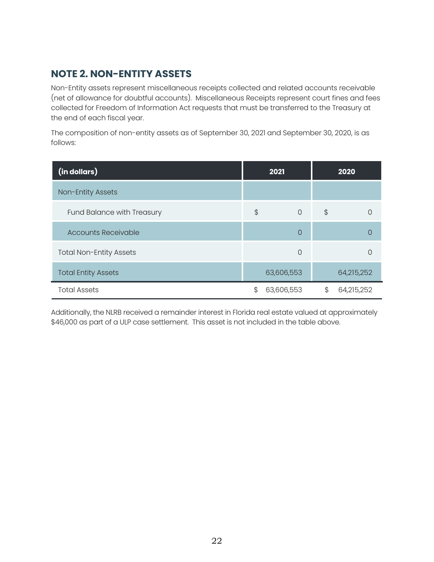# **NOTE 2. NON-ENTITY ASSETS**

Non-Entity assets represent miscellaneous receipts collected and related accounts receivable (net of allowance for doubtful accounts). Miscellaneous Receipts represent court fines and fees collected for Freedom of Information Act requests that must be transferred to the Treasury at the end of each fiscal year.

The composition of non-entity assets as of September 30, 2021 and September 30, 2020, is as follows:

| (in dollars)                      | 2021                 |               | 2020               |
|-----------------------------------|----------------------|---------------|--------------------|
| Non-Entity Assets                 |                      |               |                    |
| <b>Fund Balance with Treasury</b> | \$<br>$\overline{0}$ | $\frac{1}{2}$ | $\left( \ \right)$ |
| <b>Accounts Receivable</b>        | 0                    |               |                    |
| <b>Total Non-Entity Assets</b>    | 0                    |               |                    |
| <b>Total Entity Assets</b>        | 63,606,553           |               | 64,215,252         |
| <b>Total Assets</b>               | \$<br>63,606,553     | \$            | 64,215,252         |

Additionally, the NLRB received a remainder interest in Florida real estate valued at approximately \$46,000 as part of a ULP case settlement. This asset is not included in the table above.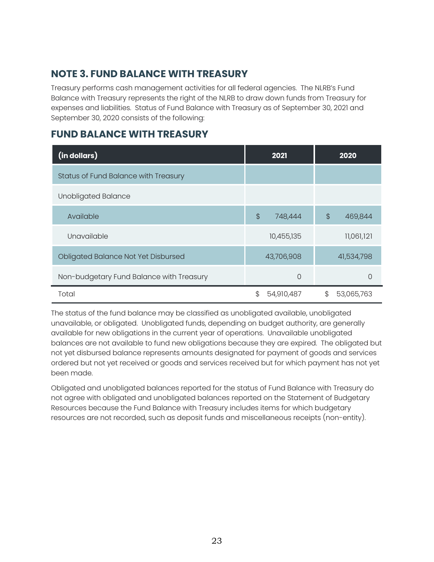# **NOTE 3. FUND BALANCE WITH TREASURY**

Treasury performs cash management activities for all federal agencies. The NLRB's Fund Balance with Treasury represents the right of the NLRB to draw down funds from Treasury for expenses and liabilities. Status of Fund Balance with Treasury as of September 30, 2021 and September 30, 2020 consists of the following:

## **FUND BALANCE WITH TREASURY**

| (in dollars)                             | 2021                      | 2020                      |
|------------------------------------------|---------------------------|---------------------------|
| Status of Fund Balance with Treasury     |                           |                           |
| Unobligated Balance                      |                           |                           |
| Available                                | $\mathfrak{S}$<br>748,444 | $\mathfrak{S}$<br>469,844 |
| Unavailable                              | 10,455,135                | 11,061,121                |
| Obligated Balance Not Yet Disbursed      | 43,706,908                | 41,534,798                |
| Non-budgetary Fund Balance with Treasury | $\Omega$                  | O                         |
| Total                                    | \$<br>54,910,487          | 53,065,763<br>\$          |

The status of the fund balance may be classified as unobligated available, unobligated unavailable, or obligated. Unobligated funds, depending on budget authority, are generally available for new obligations in the current year of operations. Unavailable unobligated balances are not available to fund new obligations because they are expired. The obligated but not yet disbursed balance represents amounts designated for payment of goods and services ordered but not yet received or goods and services received but for which payment has not yet been made.

Obligated and unobligated balances reported for the status of Fund Balance with Treasury do not agree with obligated and unobligated balances reported on the Statement of Budgetary Resources because the Fund Balance with Treasury includes items for which budgetary resources are not recorded, such as deposit funds and miscellaneous receipts (non-entity).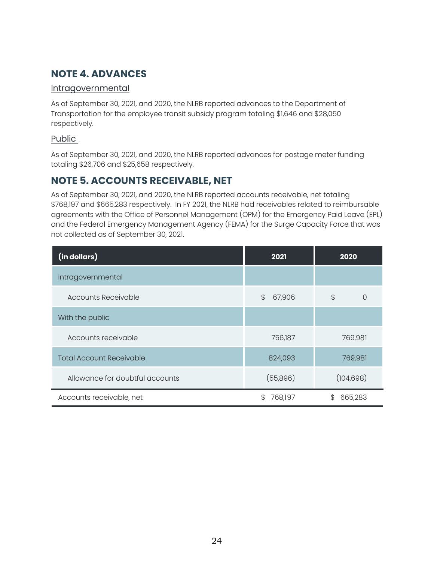# **NOTE 4. ADVANCES**

## Intragovernmental

As of September 30, 2021, and 2020, the NLRB reported advances to the Department of Transportation for the employee transit subsidy program totaling \$1,646 and \$28,050 respectively.

## Public

As of September 30, 2021, and 2020, the NLRB reported advances for postage meter funding totaling \$26,706 and \$25,658 respectively.

# **NOTE 5. ACCOUNTS RECEIVABLE, NET**

As of September 30, 2021, and 2020, the NLRB reported accounts receivable, net totaling \$768,197 and \$665,283 respectively. In FY 2021, the NLRB had receivables related to reimbursable agreements with the Office of Personnel Management (OPM) for the Emergency Paid Leave (EPL) and the Federal Emergency Management Agency (FEMA) for the Surge Capacity Force that was not collected as of September 30, 2021.

| (in dollars)                    | 2021          | 2020               |
|---------------------------------|---------------|--------------------|
| Intragovernmental               |               |                    |
| <b>Accounts Receivable</b>      | \$<br>67,906  | $\mathcal{L}$<br>0 |
| With the public                 |               |                    |
| Accounts receivable             | 756,187       | 769,981            |
| <b>Total Account Receivable</b> | 824,093       | 769,981            |
| Allowance for doubtful accounts | (55,896)      | (104, 698)         |
| Accounts receivable, net        | 768,197<br>\$ | 665,283<br>\$      |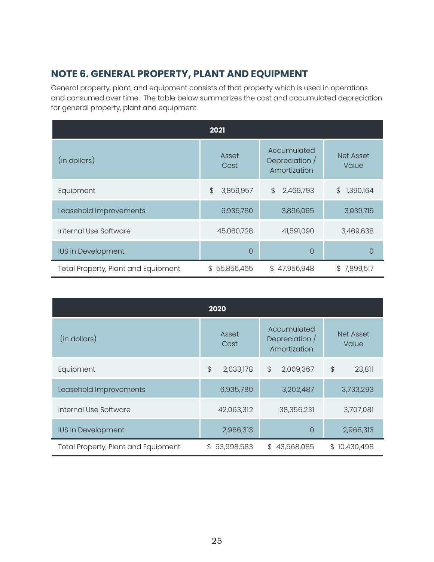# **NOTE 6. GENERAL PROPERTY, PLANT AND EQUIPMENT**

General property, plant, and equipment consists of that property which is used in operations and consumed over time. The table below summarizes the cost and accumulated depreciation for general property, plant and equipment.

|                                     | 2021            |                                               |                           |
|-------------------------------------|-----------------|-----------------------------------------------|---------------------------|
| (in dollars)                        | Asset<br>Cost   | Accumulated<br>Depreciation /<br>Amortization | <b>Net Asset</b><br>Value |
| Equipment                           | \$<br>3,859,957 | 2,469,793<br>\$                               | \$<br>1,390,164           |
| Leasehold Improvements              | 6,935,780       | 3,896,065                                     | 3,039,715                 |
| Internal Use Software               | 45,060,728      | 41,591,090                                    | 3,469,638                 |
| IUS in Development                  | $\Omega$        | $\Omega$                                      | $\Omega$                  |
| Total Property, Plant and Equipment | \$55,856,465    | \$47,956,948                                  | \$7,899,517               |

|                                            | 2020            |                                               |                         |
|--------------------------------------------|-----------------|-----------------------------------------------|-------------------------|
| (in dollars)                               | Asset<br>Cost   | Accumulated<br>Depreciation /<br>Amortization | Net Asset<br>Value      |
| Equipment                                  | \$<br>2,033,178 | $\mathcal{L}$<br>2,009,367                    | $\frac{1}{2}$<br>23,811 |
| Leasehold Improvements                     | 6,935,780       | 3,202,487                                     | 3,733,293               |
| Internal Use Software                      | 42,063,312      | 38,356,231                                    | 3,707,081               |
| <b>IUS in Development</b>                  | 2,966,313       | 0                                             | 2,966,313               |
| <b>Total Property, Plant and Equipment</b> | \$53,998,583    | 43,568,085<br>\$                              | \$10,430,498            |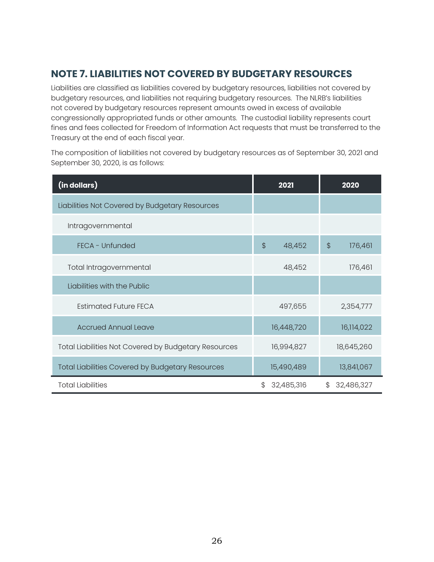# **NOTE 7. LIABILITIES NOT COVERED BY BUDGETARY RESOURCES**

Liabilities are classified as liabilities covered by budgetary resources, liabilities not covered by budgetary resources, and liabilities not requiring budgetary resources. The NLRB's liabilities not covered by budgetary resources represent amounts owed in excess of available congressionally appropriated funds or other amounts. The custodial liability represents court fines and fees collected for Freedom of Information Act requests that must be transferred to the Treasury at the end of each fiscal year.

The composition of liabilities not covered by budgetary resources as of September 30, 2021 and September 30, 2020, is as follows:

| (in dollars)                                                | 2021                    | 2020                       |
|-------------------------------------------------------------|-------------------------|----------------------------|
| Liabilities Not Covered by Budgetary Resources              |                         |                            |
| Intragovernmental                                           |                         |                            |
| $FFCA - Unfunded$                                           | $\mathcal{L}$<br>48,452 | $\frac{1}{2}$<br>176,461   |
| Total Intragovernmental                                     | 48,452                  | 176,461                    |
| Liabilities with the Public                                 |                         |                            |
| <b>Estimated Future FECA</b>                                | 497,655                 | 2,354,777                  |
| <b>Accrued Annual Leave</b>                                 | 16,448,720              | 16,114,022                 |
| <b>Total Liabilities Not Covered by Budgetary Resources</b> | 16,994,827              | 18,645,260                 |
| <b>Total Liabilities Covered by Budgetary Resources</b>     | 15,490,489              | 13,841,067                 |
| <b>Total Liabilities</b>                                    | 32,485,316<br>\$        | 32,486,327<br>$\mathbb{S}$ |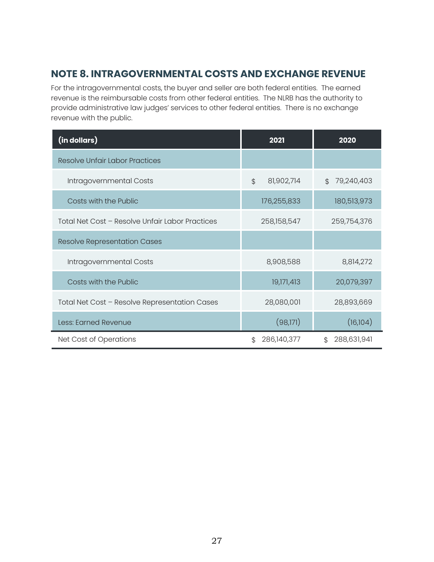# **NOTE 8. INTRAGOVERNMENTAL COSTS AND EXCHANGE REVENUE**

For the intragovernmental costs, the buyer and seller are both federal entities. The earned revenue is the reimbursable costs from other federal entities. The NLRB has the authority to provide administrative law judges' services to other federal entities. There is no exchange revenue with the public.

| (in dollars)                                    | 2021                         | 2020                        |
|-------------------------------------------------|------------------------------|-----------------------------|
| <b>Resolve Unfair Labor Practices</b>           |                              |                             |
| Intragovernmental Costs                         | 81,902,714<br>$\mathfrak{L}$ | 79,240,403<br>$\mathcal{L}$ |
| Costs with the Public                           | 176,255,833                  | 180,513,973                 |
| Total Net Cost - Resolve Unfair Labor Practices | 258,158,547                  | 259,754,376                 |
| <b>Resolve Representation Cases</b>             |                              |                             |
| Intragovernmental Costs                         | 8,908,588                    | 8,814,272                   |
| Costs with the Public                           | 19,171,413                   | 20,079,397                  |
| Total Net Cost - Resolve Representation Cases   | 28,080,001                   | 28,893,669                  |
| Less: Earned Revenue                            | (98,171)                     | (16, 104)                   |
| Net Cost of Operations                          | 286,140,377<br>\$            | 288,631,941<br>\$           |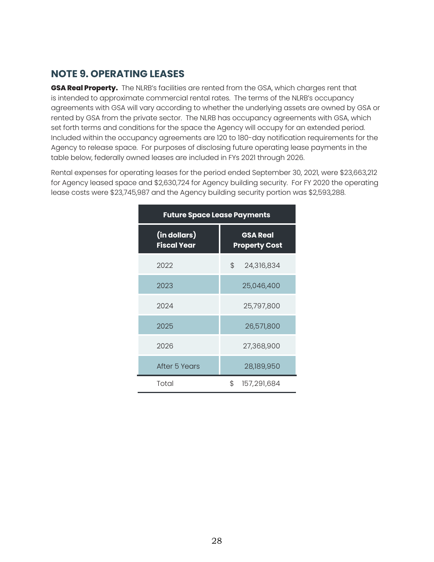## **NOTE 9. OPERATING LEASES**

**GSA Real Property.** The NLRB's facilities are rented from the GSA, which charges rent that is intended to approximate commercial rental rates. The terms of the NLRB's occupancy agreements with GSA will vary according to whether the underlying assets are owned by GSA or rented by GSA from the private sector. The NLRB has occupancy agreements with GSA, which set forth terms and conditions for the space the Agency will occupy for an extended period. Included within the occupancy agreements are 120 to 180-day notification requirements for the Agency to release space. For purposes of disclosing future operating lease payments in the table below, federally owned leases are included in FYs 2021 through 2026.

Rental expenses for operating leases for the period ended September 30, 2021, were \$23,663,212 for Agency leased space and \$2,630,724 for Agency building security. For FY 2020 the operating lease costs were \$23,745,987 and the Agency building security portion was \$2,593,288.

| <b>Future Space Lease Payments</b> |                                         |  |  |  |
|------------------------------------|-----------------------------------------|--|--|--|
| (in dollars)<br><b>Fiscal Year</b> | <b>GSA Real</b><br><b>Property Cost</b> |  |  |  |
| 2022                               | \$<br>24,316,834                        |  |  |  |
| 2023                               | 25,046,400                              |  |  |  |
| 2024                               | 25,797,800                              |  |  |  |
| 2025                               | 26,571,800                              |  |  |  |
| 2026                               | 27,368,900                              |  |  |  |
| After 5 Years                      | 28,189,950                              |  |  |  |
| Total                              | \$<br>157,291,684                       |  |  |  |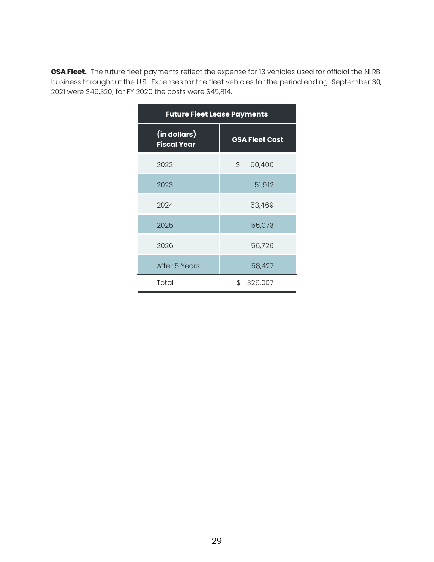**GSA Fleet.** The future fleet payments reflect the expense for 13 vehicles used for official the NLRB business throughout the U.S. Expenses for the fleet vehicles for the period ending September 30, 2021 were \$46,320; for FY 2020 the costs were \$45,814.

| <b>Future Fleet Lease Payments</b> |                        |  |  |  |
|------------------------------------|------------------------|--|--|--|
| (in dollars)<br><b>Fiscal Year</b> | <b>GSA Fleet Cost</b>  |  |  |  |
| 2022                               | 50,400<br>$\mathbb{S}$ |  |  |  |
| 2023                               | 51,912                 |  |  |  |
| 2024                               | 53,469                 |  |  |  |
| 2025                               | 55,073                 |  |  |  |
| 2026                               | 56,726                 |  |  |  |
| <b>After 5 Years</b>               | 58,427                 |  |  |  |
| Total                              | \$<br>326,007          |  |  |  |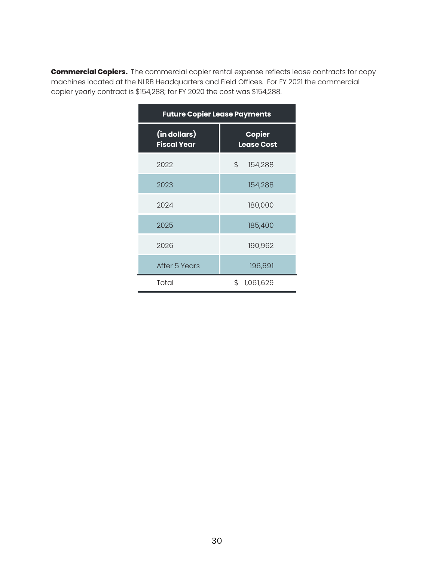**Commercial Copiers.** The commercial copier rental expense reflects lease contracts for copy machines located at the NLRB Headquarters and Field Offices. For FY 2021 the commercial copier yearly contract is \$154,288; for FY 2020 the cost was \$154,288.

| <b>Future Copier Lease Payments</b> |                                    |  |  |  |
|-------------------------------------|------------------------------------|--|--|--|
| (in dollars)<br><b>Fiscal Year</b>  | <b>Copier</b><br><b>Lease Cost</b> |  |  |  |
| 2022                                | \$<br>154,288                      |  |  |  |
| 2023                                | 154,288                            |  |  |  |
| 2024                                | 180,000                            |  |  |  |
| 2025                                | 185,400                            |  |  |  |
| 2026                                | 190,962                            |  |  |  |
| After 5 Years                       | 196,691                            |  |  |  |
| Total                               | \$1,061,629                        |  |  |  |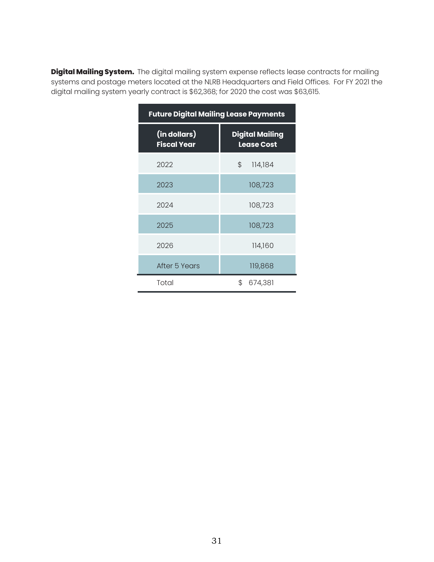**Digital Mailing System.** The digital mailing system expense reflects lease contracts for mailing systems and postage meters located at the NLRB Headquarters and Field Offices. For FY 2021 the digital mailing system yearly contract is \$62,368; for 2020 the cost was \$63,615.

| <b>Future Digital Mailing Lease Payments</b> |                                             |  |  |  |
|----------------------------------------------|---------------------------------------------|--|--|--|
| (in dollars)<br><b>Fiscal Year</b>           | <b>Digital Mailing</b><br><b>Lease Cost</b> |  |  |  |
| 2022                                         | $\mathbb{S}^-$<br>114,184                   |  |  |  |
| 2023                                         | 108,723                                     |  |  |  |
| 2024                                         | 108,723                                     |  |  |  |
| 2025                                         | 108,723                                     |  |  |  |
| 2026                                         | 114,160                                     |  |  |  |
| After 5 Years                                | 119,868                                     |  |  |  |
| Total                                        | \$<br>674,381                               |  |  |  |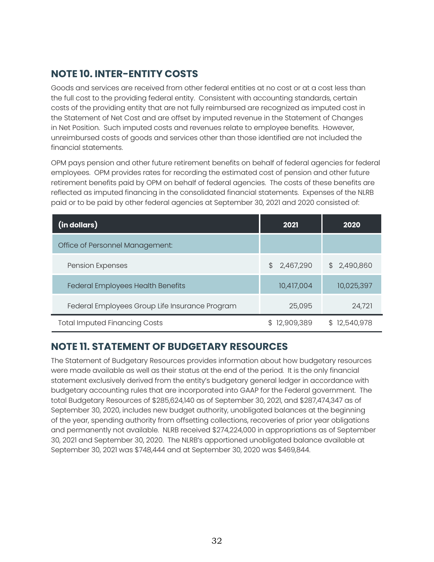# **NOTE 10. INTER-ENTITY COSTS**

Goods and services are received from other federal entities at no cost or at a cost less than the full cost to the providing federal entity. Consistent with accounting standards, certain costs of the providing entity that are not fully reimbursed are recognized as imputed cost in the Statement of Net Cost and are offset by imputed revenue in the Statement of Changes in Net Position. Such imputed costs and revenues relate to employee benefits. However, unreimbursed costs of goods and services other than those identified are not included the financial statements.

OPM pays pension and other future retirement benefits on behalf of federal agencies for federal employees. OPM provides rates for recording the estimated cost of pension and other future retirement benefits paid by OPM on behalf of federal agencies. The costs of these benefits are reflected as imputed financing in the consolidated financial statements. Expenses of the NLRB paid or to be paid by other federal agencies at September 30, 2021 and 2020 consisted of:

| (in dollars)                                   | 2021            | 2020         |
|------------------------------------------------|-----------------|--------------|
| Office of Personnel Management:                |                 |              |
| <b>Pension Expenses</b>                        | \$<br>2,467,290 | \$2,490,860  |
| Federal Employees Health Benefits              | 10,417,004      | 10,025,397   |
| Federal Employees Group Life Insurance Program | 25,095          | 24,721       |
| <b>Total Imputed Financing Costs</b>           | \$12,909,389    | \$12,540,978 |

## **NOTE 11. STATEMENT OF BUDGETARY RESOURCES**

The Statement of Budgetary Resources provides information about how budgetary resources were made available as well as their status at the end of the period. It is the only financial statement exclusively derived from the entity's budgetary general ledger in accordance with budgetary accounting rules that are incorporated into GAAP for the Federal government. The total Budgetary Resources of \$285,624,140 as of September 30, 2021, and \$287,474,347 as of September 30, 2020, includes new budget authority, unobligated balances at the beginning of the year, spending authority from offsetting collections, recoveries of prior year obligations and permanently not available. NLRB received \$274,224,000 in appropriations as of September 30, 2021 and September 30, 2020. The NLRB's apportioned unobligated balance available at September 30, 2021 was \$748,444 and at September 30, 2020 was \$469,844.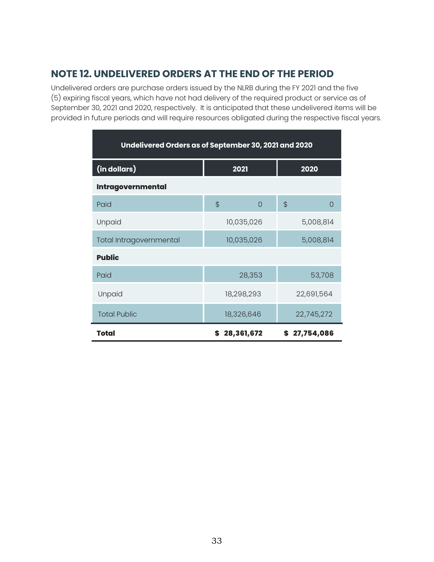# **NOTE 12. UNDELIVERED ORDERS AT THE END OF THE PERIOD**

Undelivered orders are purchase orders issued by the NLRB during the FY 2021 and the five (5) expiring fiscal years, which have not had delivery of the required product or service as of September 30, 2021 and 2020, respectively. It is anticipated that these undelivered items will be provided in future periods and will require resources obligated during the respective fiscal years.

| Undelivered Orders as of September 30, 2021 and 2020 |                          |                             |  |  |  |
|------------------------------------------------------|--------------------------|-----------------------------|--|--|--|
| (in dollars)                                         | 2021<br>2020             |                             |  |  |  |
| <b>Intragovernmental</b>                             |                          |                             |  |  |  |
| Paid                                                 | $\mathfrak{L}$<br>0      | $\mathfrak{L}$<br>$\bigcap$ |  |  |  |
| Unpaid                                               | 10,035,026<br>5,008,814  |                             |  |  |  |
| Total Intragovernmental                              | 10,035,026<br>5,008,814  |                             |  |  |  |
| <b>Public</b>                                        |                          |                             |  |  |  |
| Paid                                                 | 28,353                   | 53,708                      |  |  |  |
| Unpaid                                               | 18,298,293<br>22,691,564 |                             |  |  |  |
| <b>Total Public</b>                                  | 18,326,646<br>22,745,272 |                             |  |  |  |
| <b>Total</b>                                         | 28,361,672<br>S.         | \$27,754,086                |  |  |  |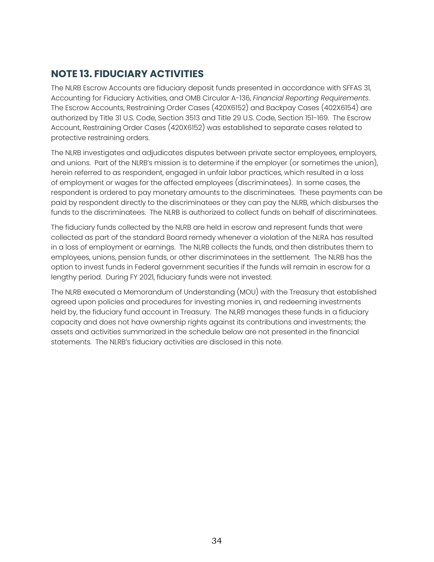# **NOTE 13. FIDUCIARY ACTIVITIES**

The NLRB Escrow Accounts are fiduciary deposit funds presented in accordance with SFFAS 31, Accounting for Fiduciary Activities, and OMB Circular A-136, *Financial Reporting Requirements*. The Escrow Accounts, Restraining Order Cases (420X6152) and Backpay Cases (402X6154) are authorized by Title 31 U.S. Code, Section 3513 and Title 29 U.S. Code, Section 151-169. The Escrow Account, Restraining Order Cases (420X6152) was established to separate cases related to protective restraining orders.

The NLRB investigates and adjudicates disputes between private sector employees, employers, and unions. Part of the NLRB's mission is to determine if the employer (or sometimes the union), herein referred to as respondent, engaged in unfair labor practices, which resulted in a loss of employment or wages for the affected employees (discriminatees). In some cases, the respondent is ordered to pay monetary amounts to the discriminatees. These payments can be paid by respondent directly to the discriminatees or they can pay the NLRB, which disburses the funds to the discriminatees. The NLRB is authorized to collect funds on behalf of discriminatees.

The fiduciary funds collected by the NLRB are held in escrow and represent funds that were collected as part of the standard Board remedy whenever a violation of the NLRA has resulted in a loss of employment or earnings. The NLRB collects the funds, and then distributes them to employees, unions, pension funds, or other discriminatees in the settlement. The NLRB has the option to invest funds in Federal government securities if the funds will remain in escrow for a lengthy period. During FY 2021, fiduciary funds were not invested.

The NLRB executed a Memorandum of Understanding (MOU) with the Treasury that established agreed upon policies and procedures for investing monies in, and redeeming investments held by, the fiduciary fund account in Treasury. The NLRB manages these funds in a fiduciary capacity and does not have ownership rights against its contributions and investments; the assets and activities summarized in the schedule below are not presented in the financial statements. The NLRB's fiduciary activities are disclosed in this note.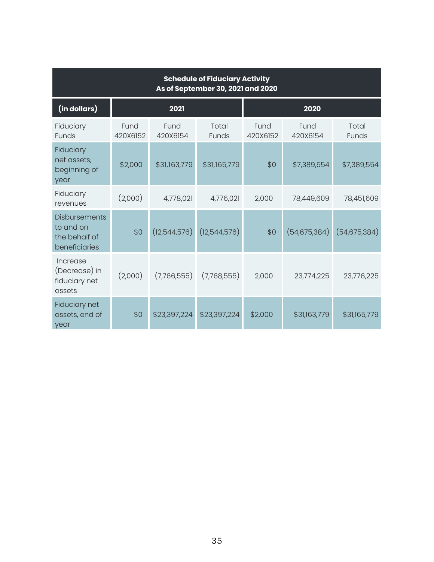| <b>Schedule of Fiduciary Activity</b><br>As of September 30, 2021 and 2020 |                  |                  |                       |                  |                  |                |
|----------------------------------------------------------------------------|------------------|------------------|-----------------------|------------------|------------------|----------------|
| (in dollars)                                                               |                  | 2021             |                       |                  | 2020             |                |
| Fiduciary<br><b>Funds</b>                                                  | Fund<br>420X6152 | Fund<br>420X6154 | Total<br><b>Funds</b> | Fund<br>420X6152 | Fund<br>420X6154 | Total<br>Funds |
| Fiduciary<br>net assets,<br>beginning of<br>year                           | \$2,000          | \$31,163,779     | \$31,165,779          | \$0              | \$7,389,554      | \$7,389,554    |
| Fiduciary<br>revenues                                                      | (2,000)          | 4,778,021        | 4,776,021             | 2,000            | 78,449,609       | 78,451,609     |
| <b>Disbursements</b><br>to and on<br>the behalf of<br>beneficiaries        | \$0              | (12,544,576)     | (12,544,576)          | \$0              | (54,675,384)     | (54, 675, 384) |
| Increase<br>(Decrease) in<br>fiduciary net<br>assets                       | (2,000)          | (7,766,555)      | (7,768,555)           | 2,000            | 23,774,225       | 23,776,225     |
| Fiduciary net<br>assets, end of<br>year                                    | \$0              | \$23,397,224     | \$23,397,224          | \$2,000          | \$31,163,779     | \$31,165,779   |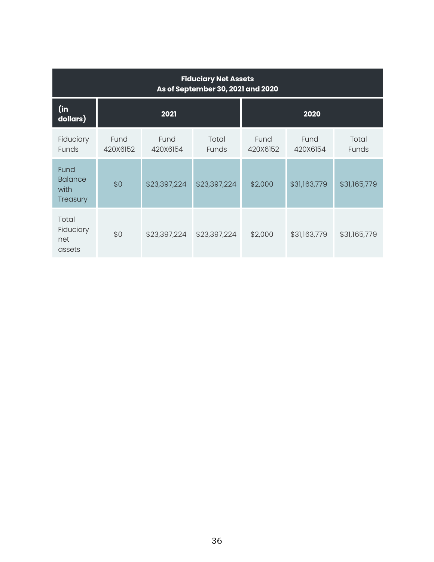| <b>Fiduciary Net Assets</b><br>As of September 30, 2021 and 2020 |                  |                  |                       |                  |                  |                       |
|------------------------------------------------------------------|------------------|------------------|-----------------------|------------------|------------------|-----------------------|
| (in<br>dollars)                                                  | 2021             |                  |                       | 2020             |                  |                       |
| Fiduciary<br><b>Funds</b>                                        | Fund<br>420X6152 | Fund<br>420X6154 | Total<br><b>Funds</b> | Fund<br>420X6152 | Fund<br>420X6154 | Total<br><b>Funds</b> |
| Fund<br><b>Balance</b><br>with<br>Treasury                       | \$0              | \$23,397,224     | \$23,397,224          | \$2,000          | \$31,163,779     | \$31,165,779          |
| Total<br>Fiduciary<br>net<br>assets                              | \$0              | \$23,397,224     | \$23,397,224          | \$2,000          | \$31,163,779     | \$31,165,779          |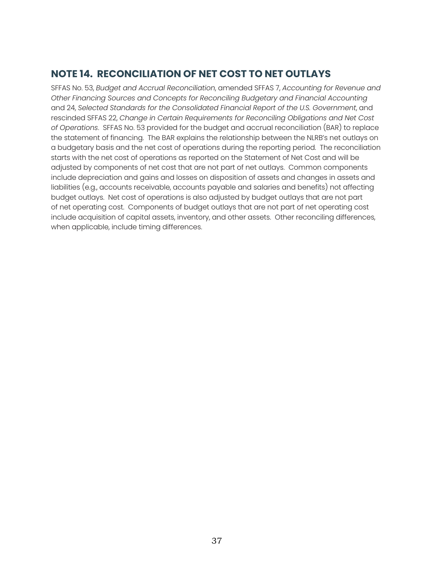# **NOTE 14. RECONCILIATION OF NET COST TO NET OUTLAYS**

SFFAS No. 53, *Budget and Accrual Reconciliation*, amended SFFAS 7, *Accounting for Revenue and Other Financing Sources and Concepts for Reconciling Budgetary and Financial Accounting* and 24, *Selected Standards for the Consolidated Financial Report of the U.S. Government*, and rescinded SFFAS 22, *Change in Certain Requirements for Reconciling Obligations and Net Cost of Operations*. SFFAS No. 53 provided for the budget and accrual reconciliation (BAR) to replace the statement of financing. The BAR explains the relationship between the NLRB's net outlays on a budgetary basis and the net cost of operations during the reporting period. The reconciliation starts with the net cost of operations as reported on the Statement of Net Cost and will be adjusted by components of net cost that are not part of net outlays. Common components include depreciation and gains and losses on disposition of assets and changes in assets and liabilities (e.g., accounts receivable, accounts payable and salaries and benefits) not affecting budget outlays. Net cost of operations is also adjusted by budget outlays that are not part of net operating cost. Components of budget outlays that are not part of net operating cost include acquisition of capital assets, inventory, and other assets. Other reconciling differences, when applicable, include timing differences.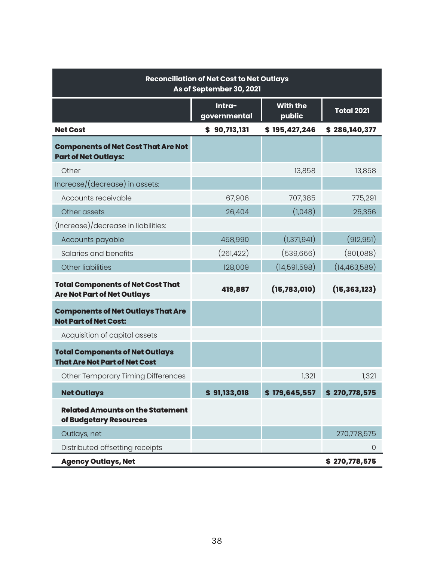| <b>Reconciliation of Net Cost to Net Outlays</b><br>As of September 30, 2021   |                        |                           |                   |  |  |
|--------------------------------------------------------------------------------|------------------------|---------------------------|-------------------|--|--|
|                                                                                | Intra-<br>governmental | <b>With the</b><br>public | <b>Total 2021</b> |  |  |
| <b>Net Cost</b>                                                                | \$90,713,131           | \$195,427,246             | \$286,140,377     |  |  |
| <b>Components of Net Cost That Are Not</b><br><b>Part of Net Outlays:</b>      |                        |                           |                   |  |  |
| Other                                                                          |                        | 13,858                    | 13,858            |  |  |
| Increase/(decrease) in assets:                                                 |                        |                           |                   |  |  |
| Accounts receivable                                                            | 67,906                 | 707,385                   | 775,291           |  |  |
| Other assets                                                                   | 26,404                 | (1,048)                   | 25,356            |  |  |
| (Increase)/decrease in liabilities:                                            |                        |                           |                   |  |  |
| Accounts payable                                                               | 458,990                | (1, 371, 941)             | (912, 951)        |  |  |
| Salaries and benefits                                                          | (261, 422)             | (539,666)                 | (801,088)         |  |  |
| <b>Other liabilities</b>                                                       | 128,009                | (14,591,598)              | (14, 463, 589)    |  |  |
| <b>Total Components of Net Cost That</b><br><b>Are Not Part of Net Outlays</b> | 419,887                | (15, 783, 010)            | (15, 363, 123)    |  |  |
| <b>Components of Net Outlays That Are</b><br><b>Not Part of Net Cost:</b>      |                        |                           |                   |  |  |
| Acquisition of capital assets                                                  |                        |                           |                   |  |  |
| <b>Total Components of Net Outlays</b><br><b>That Are Not Part of Net Cost</b> |                        |                           |                   |  |  |
| <b>Other Temporary Timing Differences</b>                                      |                        | 1,321                     | 1,321             |  |  |
| <b>Net Outlays</b>                                                             | \$91,133,018           | \$179,645,557             | \$270,778,575     |  |  |
| <b>Related Amounts on the Statement</b><br>of Budgetary Resources              |                        |                           |                   |  |  |
| Outlays, net                                                                   |                        |                           | 270,778,575       |  |  |
| Distributed offsetting receipts                                                |                        |                           | 0                 |  |  |
| <b>Agency Outlays, Net</b>                                                     |                        |                           | \$270,778,575     |  |  |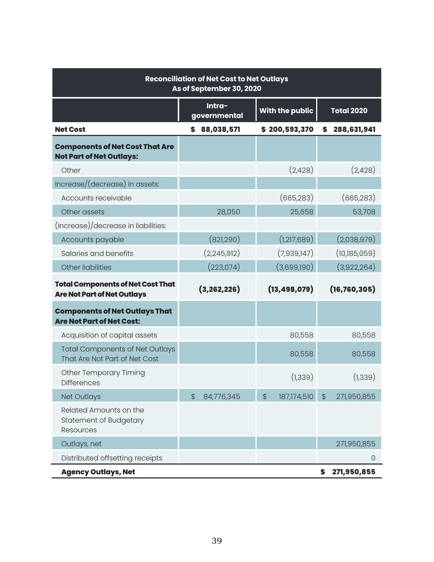| <b>Reconciliation of Net Cost to Net Outlays</b><br>As of September 30, 2020   |                             |                              |                              |  |  |
|--------------------------------------------------------------------------------|-----------------------------|------------------------------|------------------------------|--|--|
|                                                                                | Intra-<br>governmental      | <b>Total 2020</b>            |                              |  |  |
| <b>Net Cost</b>                                                                | 88,038,571<br>\$            | \$200,593,370                | 288,631,941<br>\$            |  |  |
| <b>Components of Net Cost That Are</b><br><b>Not Part of Net Outlays:</b>      |                             |                              |                              |  |  |
| Other                                                                          |                             | (2,428)                      | (2,428)                      |  |  |
| Increase/(decrease) in assets:                                                 |                             |                              |                              |  |  |
| Accounts receivable                                                            |                             | (665, 283)                   | (665, 283)                   |  |  |
| Other assets                                                                   | 28,050                      | 25,658                       | 53,708                       |  |  |
| (Increase)/decrease in liabilities:                                            |                             |                              |                              |  |  |
| Accounts payable                                                               | (821, 290)                  | (1, 217, 689)                | (2,038,979)                  |  |  |
| Salaries and benefits                                                          | (2, 245, 912)               | (7,939,147)                  | (10, 185, 059)               |  |  |
| <b>Other liabilities</b>                                                       | (223,074)                   | (3,699,190)                  | (3,922,264)                  |  |  |
| <b>Total Components of Net Cost That</b><br><b>Are Not Part of Net Outlays</b> | (3, 262, 226)               | (13, 498, 079)               | (16, 760, 305)               |  |  |
| <b>Components of Net Outlays That</b><br><b>Are Not Part of Net Cost:</b>      |                             |                              |                              |  |  |
| Acquisition of capital assets                                                  |                             | 80,558                       | 80,558                       |  |  |
| <b>Total Components of Net Outlays</b><br>That Are Not Part of Net Cost        |                             | 80,558                       | 80,558                       |  |  |
| Other Temporary Timing<br><b>Differences</b>                                   |                             | (1, 339)                     | (1, 339)                     |  |  |
| <b>Net Outlays</b>                                                             | $\frac{1}{2}$<br>84,776,345 | 187,174,510<br>$\frac{1}{2}$ | 271,950,855<br>$\frac{1}{2}$ |  |  |
| Related Amounts on the<br>Statement of Budgetary<br><b>Resources</b>           |                             |                              |                              |  |  |
| Outlays, net                                                                   |                             |                              | 271,950,855                  |  |  |
| Distributed offsetting receipts                                                |                             |                              | $\Omega$                     |  |  |
| <b>Agency Outlays, Net</b>                                                     |                             |                              | 271,950,855                  |  |  |